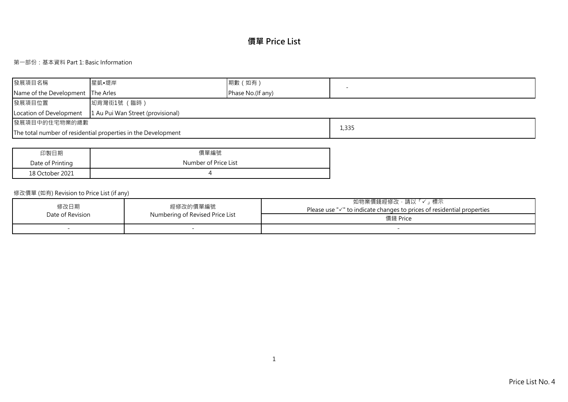# **價單 Price List**

## 第一部份:基本資料 Part 1: Basic Information

| 發展項目名稱                                                       | ┃星凱•堤岸                                                        | 期數 (如有)           |       |  |  |  |  |  |  |
|--------------------------------------------------------------|---------------------------------------------------------------|-------------------|-------|--|--|--|--|--|--|
| Name of the Development The Arles                            |                                                               | Phase No.(If any) |       |  |  |  |  |  |  |
| 發展項目位置                                                       | 坳背灣街1號 (臨時)                                                   |                   |       |  |  |  |  |  |  |
| 1 Au Pui Wan Street (provisional)<br>Location of Development |                                                               |                   |       |  |  |  |  |  |  |
| 發展項目中的住宅物業的總數                                                |                                                               |                   |       |  |  |  |  |  |  |
|                                                              | The total number of residential properties in the Development |                   | 1,335 |  |  |  |  |  |  |

| 印製日期             | 價單編號                 |
|------------------|----------------------|
| Date of Printing | Number of Price List |
| 18 October 2021  |                      |

## 修改價單 (如有) Revision to Price List (if any)

| 修改日期<br>Date of Revision | 經修改的價單編號                        | 」標示<br>如物業價錢經修改,請以<br>Please use $\sqrt{ }$ to indicate changes to prices of residential properties |
|--------------------------|---------------------------------|-----------------------------------------------------------------------------------------------------|
|                          | Numbering of Revised Price List | 價錢 Price                                                                                            |
|                          |                                 |                                                                                                     |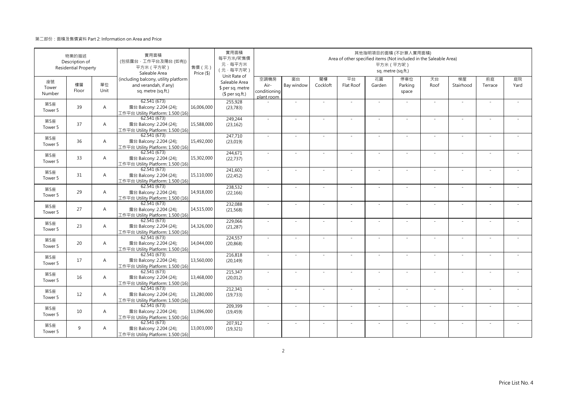|                       | 物業的描述<br>Description of<br><b>Residential Property</b> |                | 實用面積<br>(包括露台·工作平台及陽台(如有))<br>平方米 (平方呎)<br>Saleable Area                            | 售價 (元)<br>Price (\$) | 實用面積<br>每平方米/呎售價<br>元·每平方米<br>(元·每平方呎)                               |                                            |                  |                | Area of other specified items (Not included in the Saleable Area) | 其他指明項目的面積 (不計算入實用面積)<br>平方米 (平方呎) | sq. metre (sq.ft.)      |            |                          |               |            |
|-----------------------|--------------------------------------------------------|----------------|-------------------------------------------------------------------------------------|----------------------|----------------------------------------------------------------------|--------------------------------------------|------------------|----------------|-------------------------------------------------------------------|-----------------------------------|-------------------------|------------|--------------------------|---------------|------------|
| 座號<br>Tower<br>Number | 樓層<br>Floor                                            | 單位<br>Unit     | (including balcony, utility platform<br>and verandah, if any)<br>sq. metre (sq.ft.) |                      | Unit Rate of<br>Saleable Area<br>\$ per sq. metre<br>$$$ per sq.ft.) | 空調機房<br>Air-<br>conditioning<br>plant room | 窗台<br>Bay window | 閣樓<br>Cockloft | 平台<br>Flat Roof                                                   | 花園<br>Garden                      | 停車位<br>Parking<br>space | 天台<br>Roof | 梯屋<br>Stairhood          | 前庭<br>Terrace | 庭院<br>Yard |
| 第5座<br>Tower 5        | 39                                                     | $\overline{A}$ | 62.541 (673)<br>露台 Balcony: 2.204 (24);<br>工作平台 Utility Platform: 1.500 (16)        | 16,006,000           | 255,928<br>(23, 783)                                                 |                                            | ÷,               |                |                                                                   | $\sim$                            |                         | ×.         | ×,                       |               |            |
| 第5座<br>Tower 5        | 37                                                     | $\overline{A}$ | 62.541(673)<br>露台 Balcony: 2.204 (24);<br>工作平台 Utility Platform: 1.500 (16)         | 15,588,000           | 249,244<br>(23, 162)                                                 | $\sim$                                     | $\sim$           | $\sim$         | ÷.                                                                | $\sim$                            | $\sim$                  | $\sim$     | $\sim$                   | $\sim$        |            |
| 第5座<br>Tower 5        | 36                                                     | $\overline{A}$ | 62.541(673)<br>露台 Balcony: 2.204 (24);<br>工作平台 Utility Platform: 1.500 (16)         | 15,492,000           | 247,710<br>(23,019)                                                  | $\sim$                                     | ×.               |                | ÷.                                                                | $\sim$                            |                         | ×.         | ×,                       |               |            |
| 第5座<br>Tower 5        | 33                                                     | $\overline{A}$ | 62.541(673)<br>露台 Balcony: 2.204 (24);<br>工作平台 Utility Platform: 1.500 (16)         | 15,302,000           | 244,671<br>(22, 737)                                                 | ×.                                         | ÷,               |                |                                                                   | ä,                                |                         | ×.         | ×,                       |               |            |
| 第5座<br>Tower 5        | 31                                                     | $\overline{A}$ | 62.541 (673)<br>露台 Balcony: 2.204 (24);<br>工作平台 Utility Platform: 1.500 (16)        | 15,110,000           | 241,602<br>(22, 452)                                                 | $\mathbf{r}$                               | ×.               |                | ÷.                                                                | $\sim$                            | $\sim$                  | ×.         | ×,                       |               |            |
| 第5座<br>Tower 5        | 29                                                     | $\overline{A}$ | 62.541 (673)<br>露台 Balcony: 2.204 (24);<br>工作平台 Utility Platform: 1.500 (16)        | 14,918,000           | 238,532<br>(22, 166)                                                 | $\sim$                                     | $\sim$           |                | ٠                                                                 | $\sim$                            |                         | $\sim$     | $\sim$                   |               |            |
| 第5座<br>Tower 5        | 27                                                     | $\overline{A}$ | 62.541(673)<br>露台 Balcony: 2.204 (24);<br>工作平台 Utility Platform: 1.500 (16)         | 14,515,000           | 232,088<br>(21, 568)                                                 | $\sim$                                     | $\sim$           | $\sim$         | ×.                                                                | $\sim$                            | $\sim$                  | $\sim$     | $\sim$                   | ÷             |            |
| 第5座<br>Tower 5        | 23                                                     | $\overline{A}$ | 62.541 (673)<br>露台 Balcony: 2.204 (24);<br>工作平台 Utility Platform: 1.500 (16)        | 14,326,000           | 229,066<br>(21, 287)                                                 | $\sim$                                     | ×.               |                | ÷.                                                                | $\sim$                            |                         | ×.         | ä,                       |               |            |
| 第5座<br>Tower 5        | 20                                                     | $\overline{A}$ | 62.541(673)<br>露台 Balcony: 2.204 (24);<br>工作平台 Utility Platform: 1.500 (16)         | 14,044,000           | 224,557<br>(20, 868)                                                 | ÷,                                         | ×,               |                |                                                                   | ä,                                |                         | ×.         | ×,                       |               |            |
| 第5座<br>Tower 5        | 17                                                     | $\overline{A}$ | 62.541 (673)<br>露台 Balcony: 2.204 (24);<br>工作平台 Utility Platform: 1.500 (16)        | 13,560,000           | 216,818<br>(20, 149)                                                 | ÷.                                         | ×.               |                |                                                                   | ٠                                 |                         | ×.         | ×,                       |               |            |
| 第5座<br>Tower 5        | 16                                                     | $\overline{A}$ | 62.541(673)<br>露台 Balcony: 2.204 (24);<br>工作平台 Utility Platform: 1.500 (16)         | 13,468,000           | 215,347<br>(20, 012)                                                 | ×.                                         | $\sim$           |                | $\overline{\phantom{a}}$                                          | $\overline{\phantom{a}}$          |                         | $\sim$     | $\sim$                   |               |            |
| 第5座<br>Tower 5        | 12                                                     | $\overline{A}$ | 62.541(673)<br>露台 Balcony: 2.204 (24);<br>工作平台 Utility Platform: 1.500 (16)         | 13,280,000           | 212,341<br>(19, 733)                                                 | $\sim$                                     | $\sim$           | in 1919.       | ÷.                                                                | ×.                                | $\sim$                  | ×.         | ×,                       |               |            |
| 第5座<br>Tower 5        | 10                                                     | $\overline{A}$ | 62.541 (673)<br>露台 Balcony: 2.204 (24);<br>工作平台 Utility Platform: 1.500 (16)        | 13,096,000           | 209,399<br>(19, 459)                                                 | $\sim$                                     | i.               |                | ÷.                                                                | $\sim$                            |                         | $\sim$     | ÷.                       |               |            |
| 第5座<br>Tower 5        | 9                                                      | A              | 62.541(673)<br>露台 Balcony: 2.204 (24);<br>工作平台 Utility Platform: 1.500 (16)         | 13,003,000           | 207,912<br>(19, 321)                                                 |                                            |                  |                |                                                                   |                                   |                         | $\sim$     | $\overline{\phantom{a}}$ |               |            |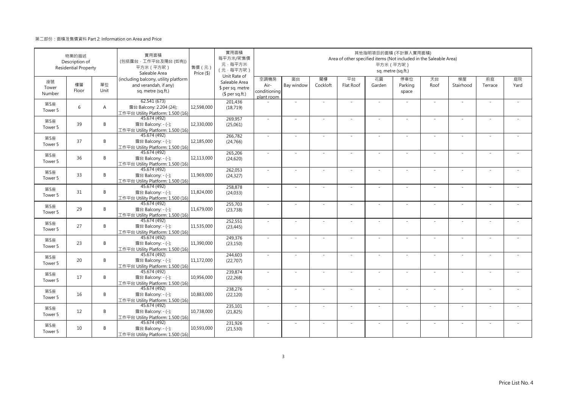|                       | 物業的描述<br>Description of<br><b>Residential Property</b> |                | 實用面積<br>(包括露台·工作平台及陽台 (如有))<br>平方米 (平方呎)<br>Saleable Area                           | 售價 (元)<br>Price (\$) | 實用面積<br>每平方米/呎售價<br>元·每平方米<br>(元·每平方呎)                               |                                            |                  |                | Area of other specified items (Not included in the Saleable Area) | 平方米 (平方呎)    | 其他指明項目的面積 (不計算入實用面積)<br>sq. metre (sq.ft.) |            |                 |               |            |
|-----------------------|--------------------------------------------------------|----------------|-------------------------------------------------------------------------------------|----------------------|----------------------------------------------------------------------|--------------------------------------------|------------------|----------------|-------------------------------------------------------------------|--------------|--------------------------------------------|------------|-----------------|---------------|------------|
| 座號<br>Tower<br>Number | 樓層<br>Floor                                            | 單位<br>Unit     | (including balcony, utility platform<br>and verandah, if any)<br>sq. metre (sq.ft.) |                      | Unit Rate of<br>Saleable Area<br>\$ per sq. metre<br>$$$ per sq.ft.) | 空調機房<br>Air-<br>conditioning<br>plant room | 窗台<br>Bay window | 閣樓<br>Cockloft | 平台<br>Flat Roof                                                   | 花園<br>Garden | 停車位<br>Parking<br>space                    | 天台<br>Roof | 梯屋<br>Stairhood | 前庭<br>Terrace | 庭院<br>Yard |
| 第5座<br>Tower 5        | 6                                                      | $\overline{A}$ | 62.541 (673)<br>露台 Balcony: 2.204 (24);<br>工作平台 Utility Platform: 1.500 (16)        | 12,598,000           | 201,436<br>(18, 719)                                                 |                                            | ä,               |                |                                                                   | ä,           |                                            | ×.         | ÷,              |               |            |
| 第5座<br>Tower 5        | 39                                                     | B              | 45.674 (492)<br>露台 Balcony: - (-);<br>工作平台 Utility Platform: 1.500 (16)             | 12,330,000           | 269,957<br>(25,061)                                                  | ×.                                         | $\sim$           |                | ÷.                                                                | ÷.           | $\sim$                                     | ×.         | $\sim$          |               |            |
| 第5座<br>Tower 5        | 37                                                     | B              | 45.674 (492)<br>露台 Balcony: - (-);<br>工作平台 Utility Platform: 1.500 (16)             | 12,185,000           | 266,782<br>(24, 766)                                                 | ×.                                         |                  |                |                                                                   |              |                                            |            |                 |               |            |
| 第5座<br>Tower 5        | 36                                                     | B              | 45.674 (492)<br>露台 Balcony: - (-);<br>工作平台 Utility Platform: 1.500 (16)             | 12.113.000           | 265,206<br>(24, 620)                                                 | $\sim$                                     | $\sim$           |                |                                                                   | ÷,           |                                            | $\sim$     | $\sim$          |               |            |
| 第5座<br>Tower 5        | 33                                                     | B              | 45.674 (492)<br>露台 Balcony: - (-);<br>工作平台 Utility Platform: 1.500 (16)             | 11.969.000           | 262,053<br>(24, 327)                                                 | $\sim$                                     | $\sim$           |                | $\overline{\phantom{a}}$                                          | ÷.           | $\sim$                                     | $\sim$     | $\sim$          |               |            |
| 第5座<br>Tower 5        | 31                                                     | B              | 45.674 (492)<br>露台 Balcony: - (-);<br>工作平台 Utility Platform: 1.500 (16)             | 11,824,000           | 258,878<br>(24, 033)                                                 |                                            |                  |                |                                                                   |              |                                            | $\sim$     | ä,              |               |            |
| 第5座<br>Tower 5        | 29                                                     | B              | 45.674 (492)<br>露台 Balcony: - (-);<br>工作平台 Utility Platform: 1.500 (16)             | 11,679,000           | 255,703<br>(23, 738)                                                 | $\sim$                                     | ×.               |                | ÷.                                                                | ÷.           | $\sim$                                     | ×.         | ×.              |               |            |
| 第5座<br>Tower 5        | 27                                                     | B              | 45.674 (492)<br>露台 Balcony: - (-);<br>工作平台 Utility Platform: 1.500 (16)             | 11,535,000           | 252,551<br>(23, 445)                                                 | $\sim$                                     |                  |                |                                                                   |              |                                            |            |                 |               |            |
| 第5座<br>Tower 5        | 23                                                     | B              | 45.674 (492)<br>露台 Balcony: - (-);<br>工作平台 Utility Platform: 1.500 (16)             | 11,390,000           | 249,376<br>(23, 150)                                                 | ×.                                         | $\sim$           |                |                                                                   | ÷,           |                                            | ×.         | $\sim$          |               |            |
| 第5座<br>Tower 5        | 20                                                     | B              | 45.674 (492)<br>露台 Balcony: - (-);<br>工作平台 Utility Platform: 1.500 (16)             | 11,172,000           | 244,603<br>(22,707)                                                  | $\sim$                                     | $\sim$           | $\sim$         | ÷.                                                                | ÷,           | $\sim$                                     | $\sim$     | $\sim$          | $\sim$        |            |
| 第5座<br>Tower 5        | 17                                                     | B              | 45.674 (492)<br>露台 Balcony: - (-);<br>工作平台 Utility Platform: 1.500 (16)             | 10,956,000           | 239,874<br>(22, 268)                                                 |                                            |                  |                |                                                                   |              |                                            |            |                 |               |            |
| 第5座<br>Tower 5        | 16                                                     | B              | 45.674 (492)<br>露台 Balcony: - (-);<br>工作平台 Utility Platform: 1.500 (16)             | 10,883,000           | 238,276<br>(22, 120)                                                 | $\sim$                                     | $\sim$           |                | $\overline{\phantom{a}}$                                          | ÷.           | $\sim$                                     | $\sim$     | $\sim$          |               |            |
| 第5座<br>Tower 5        | 12                                                     | B              | 45.674 (492)<br>露台 Balcony: - (-);<br>工作平台 Utility Platform: 1.500 (16)             | 10,738,000           | 235,101<br>(21, 825)                                                 | $\sim$                                     |                  |                |                                                                   | ٠            |                                            | $\sim$     | ÷,              |               |            |
| 第5座<br>Tower 5        | 10                                                     | B              | 45.674 (492)<br>露台 Balcony: - (-);<br>工作平台 Utility Platform: 1.500 (16)             | 10,593,000           | 231,926<br>(21, 530)                                                 |                                            |                  |                |                                                                   |              |                                            | $\sim$     | J,              |               |            |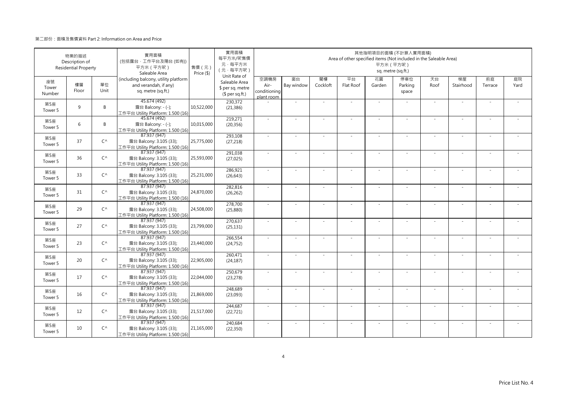|                           | 物業的描述<br>Description of<br><b>Residential Property</b> |              | 實用面積<br>(包括露台·工作平台及陽台(如有))<br>平方米 (平方呎)<br>Saleable Area                            | 售價 (元)<br>Price (\$) | 實用面積<br>每平方米/呎售價<br>元·每平方米<br>(元·每平方呎)                               |                                            |                  |                | Area of other specified items (Not included in the Saleable Area) | 平方米 (平方呎)    | 其他指明項目的面積 (不計算入實用面積)<br>sq. metre (sq.ft.) |            |                 |               |            |
|---------------------------|--------------------------------------------------------|--------------|-------------------------------------------------------------------------------------|----------------------|----------------------------------------------------------------------|--------------------------------------------|------------------|----------------|-------------------------------------------------------------------|--------------|--------------------------------------------|------------|-----------------|---------------|------------|
| 座號<br>Tower<br>Number     | 樓層<br>Floor                                            | 單位<br>Unit   | (including balcony, utility platform<br>and verandah, if any)<br>sq. metre (sq.ft.) |                      | Unit Rate of<br>Saleable Area<br>\$ per sq. metre<br>$$$ per sq.ft.) | 空調機房<br>Air-<br>conditioning<br>plant room | 窗台<br>Bay window | 閣樓<br>Cockloft | 平台<br>Flat Roof                                                   | 花園<br>Garden | 停車位<br>Parking<br>space                    | 天台<br>Roof | 梯屋<br>Stairhood | 前庭<br>Terrace | 庭院<br>Yard |
| 第5座<br>Tower 5            | $\mathsf{q}$                                           | B            | 45.674 (492)<br>露台 Balcony: - (-);<br>工作平台 Utility Platform: 1.500 (16)             | 10,522,000           | 230,372<br>(21, 386)                                                 |                                            | ×.               |                | ÷.                                                                | $\sim$       |                                            | $\sim$     | $\sim$          |               |            |
| 第5座<br>Tower 5            | 6                                                      | B            | 45.674 (492)<br>露台 Balcony: - (-);<br>工作平台 Utility Platform: 1.500 (16)             | 10,015,000           | 219,271<br>(20, 356)                                                 | $\sim$                                     | ×.               | $\sim$         | $\sim$                                                            | ×.           | $\sim$                                     | $\sim$     | $\sim$          |               |            |
| 第5座<br>Tower 5            | 37                                                     | $C^{\wedge}$ | 87.937 (947)<br>露台 Balcony: 3.105 (33);<br>工作平台 Utility Platform: 1.500 (16)        | 25,775,000           | 293,108<br>(27, 218)                                                 | ×.                                         | ×.               |                | ÷.                                                                | ä,           |                                            | $\sim$     | ÷.              |               |            |
| 第5座<br>Tower 5            | 36                                                     | $C^{\wedge}$ | 87.937 (947)<br>露台 Balcony: 3.105 (33);<br>工作平台 Utility Platform: 1.500 (16)        | 25,593,000           | 291,038<br>(27, 025)                                                 | ×.                                         | $\sim$           |                |                                                                   | ä,           |                                            | $\sim$     | ٠               |               |            |
| 第5座<br>Tower 5            | 33                                                     | $C^{\wedge}$ | 87.937 (947)<br>露台 Balcony: 3.105 (33);<br>工作平台 Utility Platform: 1.500 (16)        | 25,231,000           | 286,921<br>(26, 643)                                                 | $\sim$                                     | $\sim$           |                | $\overline{\phantom{a}}$                                          | $\sim$       | $\sim$                                     | $\sim$     | $\sim$          |               |            |
| 第5座<br>Tower 5            | 31                                                     | $C^{\wedge}$ | 87.937 (947)<br>露台 Balcony: 3.105 (33);<br>工作平台 Utility Platform: 1.500 (16)        | 24,870,000           | 282,816<br>(26, 262)                                                 |                                            |                  |                |                                                                   |              |                                            |            | ä,              |               |            |
| 第5座<br>Tower 5            | 29                                                     | $C^{\wedge}$ | 87.937 (947)<br>露台 Balcony: 3.105 (33);<br>工作平台 Utility Platform: 1.500 (16)        | 24,508,000           | 278,700<br>(25, 880)                                                 | $\sim$                                     | ×.               | $\sim$         | ÷.                                                                | ÷.           | $\sim$                                     | $\sim$     | $\sim$          | $\sim$        | $\sim$     |
| 第5座<br>Tower 5            | 27                                                     | $C^{\wedge}$ | 87.937 (947)<br>露台 Balcony: 3.105 (33);<br>工作平台 Utility Platform: 1.500 (16)        | 23,799,000           | 270,637<br>(25, 131)                                                 | $\sim$                                     |                  |                |                                                                   |              |                                            | $\sim$     |                 |               |            |
| 第5座<br>Tower 5            | 23                                                     | $C^{\wedge}$ | 87.937 (947)<br>露台 Balcony: 3.105 (33);<br>工作平台 Utility Platform: 1.500 (16)        | 23,440,000           | 266,554<br>(24, 752)                                                 | ×.                                         | ×.               |                | ÷.                                                                | ÷.           |                                            | $\sim$     | ×.              |               |            |
| 第5座<br>Tower <sub>5</sub> | 20                                                     | $C^{\wedge}$ | 87.937 (947)<br>露台 Balcony: 3.105 (33);<br>工作平台 Utility Platform: 1.500 (16)        | 22,905,000           | 260,471<br>(24, 187)                                                 | $\sim$                                     | $\sim$           |                | ÷.                                                                | ÷.           | $\sim$                                     | $\sim$     | $\sim$          |               |            |
| 第5座<br>Tower 5            | 17                                                     | $C^{\wedge}$ | 87.937 (947)<br>露台 Balcony: 3.105 (33);<br>工作平台 Utility Platform: 1.500 (16)        | 22,044,000           | 250,679<br>(23, 278)                                                 | $\sim$                                     | ×.               |                | ÷.                                                                | ÷.           |                                            | ×.         | ×.              |               |            |
| 第5座<br>Tower 5            | 16                                                     | $C^{\wedge}$ | 87.937 (947)<br>露台 Balcony: 3.105 (33);<br>工作平台 Utility Platform: 1.500 (16)        | 21,869,000           | 248,689<br>(23,093)                                                  | $\sim$                                     | $\sim$           | $\sim$         | ÷,                                                                | ÷,           | $\sim$                                     | $\sim$     | $\sim$          |               |            |
| 第5座<br>Tower 5            | 12                                                     | $C^{\wedge}$ | 87.937 (947)<br>露台 Balcony: 3.105 (33);<br>工作平台 Utility Platform: 1.500 (16)        | 21,517,000           | 244,687<br>(22, 721)                                                 |                                            |                  |                |                                                                   |              |                                            |            |                 |               |            |
| 第5座<br>Tower 5            | 10                                                     | $C^{\wedge}$ | 87.937 (947)<br>露台 Balcony: 3.105 (33);<br>工作平台 Utility Platform: 1.500 (16)        | 21,165,000           | 240,684<br>(22, 350)                                                 | ×.                                         | $\sim$           |                | $\sim$                                                            | $\sim$       |                                            | ×.         | $\sim$          |               |            |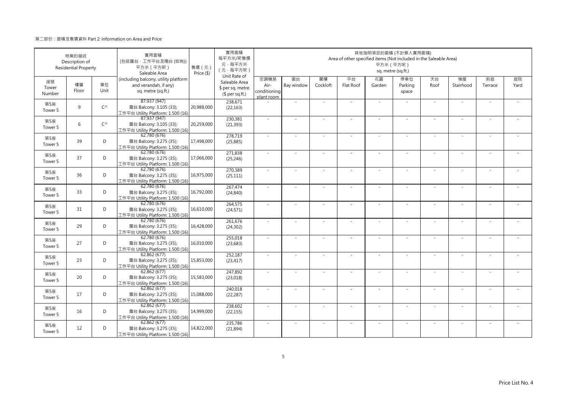|                       | 物業的描述<br>Description of<br><b>Residential Property</b> |              | 實用面積<br>(包括露台·工作平台及陽台 (如有))<br>平方米 (平方呎)<br>Saleable Area                           | 售價(元)<br>Price (\$) | 實用面積<br>每平方米/呎售價<br>元·每平方米<br>(元·每平方呎)                               |                                            |                          |                | Area of other specified items (Not included in the Saleable Area) | 平方米 (平方呎)                | 其他指明項目的面積 (不計算入實用面積)<br>sq. metre (sq.ft.) |            |                          |               |            |
|-----------------------|--------------------------------------------------------|--------------|-------------------------------------------------------------------------------------|---------------------|----------------------------------------------------------------------|--------------------------------------------|--------------------------|----------------|-------------------------------------------------------------------|--------------------------|--------------------------------------------|------------|--------------------------|---------------|------------|
| 座號<br>Tower<br>Number | 樓層<br>Floor                                            | 單位<br>Unit   | (including balcony, utility platform<br>and verandah, if any)<br>sq. metre (sq.ft.) |                     | Unit Rate of<br>Saleable Area<br>\$ per sq. metre<br>$$$ per sq.ft.) | 空調機房<br>Air-<br>conditioning<br>plant room | 窗台<br>Bay window         | 閣樓<br>Cockloft | 平台<br>Flat Roof                                                   | 花園<br>Garden             | 停車位<br>Parking<br>space                    | 天台<br>Roof | 梯屋<br>Stairhood          | 前庭<br>Terrace | 庭院<br>Yard |
| 第5座<br>Tower 5        | $\mathsf{q}$                                           | $C^{\wedge}$ | 87.937 (947)<br>露台 Balcony: 3.105 (33);<br>工作平台 Utility Platform: 1.500 (16)        | 20,988,000          | 238,671<br>(22, 163)                                                 |                                            | ×,                       |                |                                                                   | ×.                       |                                            | ×.         | ä,                       |               |            |
| 第5座<br>Tower 5        | 6                                                      | $C^{\wedge}$ | 87.937 (947)<br>露台 Balcony: 3.105 (33);<br>工作平台 Utility Platform: 1.500 (16)        | 20,259,000          | 230,381<br>(21, 393)                                                 | ×.                                         | ×.                       |                | ÷.                                                                | $\sim$                   | $\sim$                                     | ×.         | ×,                       |               |            |
| 第5座<br>Tower 5        | 39                                                     | D            | 62.780 (676)<br>露台 Balcony: 3.275 (35);<br>工作平台 Utility Platform: 1.500 (16)        | 17,498,000          | 278,719<br>(25, 885)                                                 | ×.                                         |                          |                |                                                                   |                          |                                            | ×.         |                          |               |            |
| 第5座<br>Tower 5        | 37                                                     | D            | 62.780 (676)<br>露台 Balcony: 3.275 (35);<br>工作平台 Utility Platform: 1.500 (16)        | 17,066,000          | 271,838<br>(25, 246)                                                 | $\sim$                                     | $\overline{\phantom{a}}$ |                |                                                                   | $\overline{\phantom{0}}$ |                                            | $\sim$     | $\overline{\phantom{a}}$ |               |            |
| 第5座<br>Tower 5        | 36                                                     | D            | 62.780 (676)<br>露台 Balcony: 3.275 (35);<br>工作平台 Utility Platform: 1.500 (16)        | 16,975,000          | 270,389<br>(25, 111)                                                 | $\sim$                                     | ×.                       |                | ÷.                                                                | $\sim$                   | $\sim$                                     | $\sim$     | ×,                       |               |            |
| 第5座<br>Tower 5        | 33                                                     | D            | 62.780 (676)<br>露台 Balcony: 3.275 (35);<br>工作平台 Utility Platform: 1.500 (16)        | 16,792,000          | 267,474<br>(24, 840)                                                 | $\sim$                                     | $\sim$                   |                |                                                                   |                          |                                            | $\sim$     | ÷,                       |               |            |
| 第5座<br>Tower 5        | 31                                                     | D            | 62.780(676)<br>露台 Balcony: 3.275 (35);<br>工作平台 Utility Platform: 1.500 (16)         | 16,610,000          | 264,575<br>(24, 571)                                                 | $\sim$                                     | ×.                       |                | ÷.                                                                | ×.                       |                                            | ×.         | ×,                       |               |            |
| 第5座<br>Tower 5        | 29                                                     | D            | 62.780(676)<br>露台 Balcony: 3.275 (35);<br>工作平台 Utility Platform: 1.500 (16)         | 16,428,000          | 261,676<br>(24, 302)                                                 | ÷.                                         |                          |                |                                                                   |                          |                                            |            |                          |               |            |
| 第5座<br>Tower 5        | 27                                                     | D            | 62.780 (676)<br>露台 Balcony: 3.275 (35);<br>工作平台 Utility Platform: 1.500 (16)        | 16,010,000          | 255,018<br>(23, 683)                                                 | ×.                                         | $\overline{\phantom{a}}$ |                |                                                                   | ٠                        |                                            | $\sim$     | $\overline{\phantom{a}}$ |               |            |
| 第5座<br>Tower 5        | 23                                                     | D            | 62.862(677)<br>露台 Balcony: 3.275 (35);<br>工作平台 Utility Platform: 1.500 (16)         | 15,853,000          | 252,187<br>(23, 417)                                                 | $\sim$                                     | $\sim$                   | $\sim$         | ÷,                                                                | $\sim$                   | $\sim$                                     | $\sim$     | $\sim$                   | $\sim$        |            |
| 第5座<br>Tower 5        | 20                                                     | D            | 62.862(677)<br>露台 Balcony: 3.275 (35);<br>工作平台 Utility Platform: 1.500 (16)         | 15,583,000          | 247,892<br>(23,018)                                                  | ÷,                                         |                          |                |                                                                   |                          |                                            |            |                          |               |            |
| 第5座<br>Tower 5        | 17                                                     | D            | 62.862(677)<br>露台 Balcony: 3.275 (35);<br>工作平台 Utility Platform: 1.500 (16)         | 15,088,000          | 240,018<br>(22, 287)                                                 | $\sim$                                     | ×.                       |                | ÷.                                                                | $\sim$                   | $\sim$                                     | $\sim$     | ٠                        |               |            |
| 第5座<br>Tower 5        | 16                                                     | D            | 62.862 (677)<br>露台 Balcony: 3.275 (35);<br>工作平台 Utility Platform: 1.500 (16)        | 14,999,000          | 238,602<br>(22, 155)                                                 | ÷.                                         | ÷.                       |                |                                                                   | ÷                        |                                            | $\sim$     | ÷,                       |               |            |
| 第5座<br>Tower 5        | 12                                                     | D            | 62.862(677)<br>露台 Balcony: 3.275 (35);<br>工作平台 Utility Platform: 1.500 (16)         | 14,822,000          | 235,786<br>(21, 894)                                                 | ×,                                         | ä,                       |                |                                                                   |                          |                                            | $\sim$     | ÷,                       |               |            |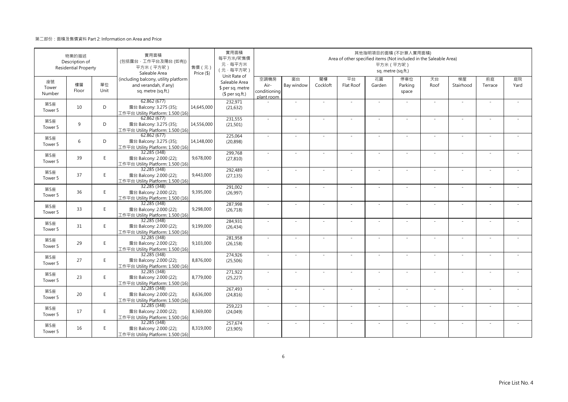|                       | 物業的描述<br>Description of<br><b>Residential Property</b> |            | 實用面積<br>(包括露台·工作平台及陽台(如有))<br>平方米 (平方呎)<br>Saleable Area                            | 售價 (元)<br>Price (\$) | 實用面積<br>每平方米/呎售價<br>元·每平方米<br>(元·每平方呎)                               |                                            |                          |                | Area of other specified items (Not included in the Saleable Area) | 平方米 (平方呎)                | 其他指明項目的面積 (不計算入實用面積)<br>sq. metre (sq.ft.) |            |                          |               |            |
|-----------------------|--------------------------------------------------------|------------|-------------------------------------------------------------------------------------|----------------------|----------------------------------------------------------------------|--------------------------------------------|--------------------------|----------------|-------------------------------------------------------------------|--------------------------|--------------------------------------------|------------|--------------------------|---------------|------------|
| 座號<br>Tower<br>Number | 樓層<br>Floor                                            | 單位<br>Unit | (including balcony, utility platform<br>and verandah, if any)<br>sq. metre (sq.ft.) |                      | Unit Rate of<br>Saleable Area<br>\$ per sq. metre<br>$$$ per sq.ft.) | 空調機房<br>Air-<br>conditioning<br>plant room | 窗台<br>Bay window         | 閣樓<br>Cockloft | 平台<br>Flat Roof                                                   | 花園<br>Garden             | 停車位<br>Parking<br>space                    | 天台<br>Roof | 梯屋<br>Stairhood          | 前庭<br>Terrace | 庭院<br>Yard |
| 第5座<br>Tower 5        | 10                                                     | D          | 62.862 (677)<br>露台 Balcony: 3.275 (35);<br>工作平台 Utility Platform: 1.500 (16)        | 14,645,000           | 232,971<br>(21, 632)                                                 |                                            | ×,                       |                |                                                                   | $\sim$                   |                                            | $\sim$     | $\sim$                   |               |            |
| 第5座<br>Tower 5        | 9                                                      | D          | 62.862(677)<br>露台 Balcony: 3.275 (35);<br>工作平台 Utility Platform: 1.500 (16)         | 14,556,000           | 231,555<br>(21, 501)                                                 | $\sim$                                     | $\sim$                   | $\sim$         | ÷.                                                                | ×.                       | $\sim$                                     | $\sim$     | $\sim$                   | $\sim$        |            |
| 第5座<br>Tower 5        | 6                                                      | D          | 62.862 (677)<br>露台 Balcony: 3.275 (35);<br>工作平台 Utility Platform: 1.500 (16)        | 14,148,000           | 225,064<br>(20, 898)                                                 | $\sim$                                     | ÷,                       |                | ÷.                                                                | $\sim$                   |                                            | $\sim$     | ä,                       |               |            |
| 第5座<br>Tower 5        | 39                                                     | E          | 32.285 (348)<br>露台 Balcony: 2.000 (22);<br>工作平台 Utility Platform: 1.500 (16)        | 9,678,000            | 299,768<br>(27, 810)                                                 | ÷.                                         | ä,                       |                |                                                                   |                          |                                            | $\sim$     | J.                       |               |            |
| 第5座<br>Tower 5        | 37                                                     | E.         | 32.285 (348)<br>露台 Balcony: 2.000 (22);<br>工作平台 Utility Platform: 1.500 (16)        | 9,443,000            | 292,489<br>(27, 135)                                                 | $\sim$                                     | $\sim$                   |                | ÷.                                                                | ×.                       | $\sim$                                     | $\sim$     | $\sim$                   | $\sim$        |            |
| 第5座<br>Tower 5        | 36                                                     | E          | 32.285 (348)<br>露台 Balcony: 2.000 (22);<br>工作平台 Utility Platform: 1.500 (16)        | 9,395,000            | 291,002<br>(26,997)                                                  | ×,                                         | $\overline{\phantom{a}}$ |                |                                                                   | $\overline{\phantom{a}}$ |                                            | $\sim$     | $\overline{\phantom{a}}$ |               |            |
| 第5座<br>Tower 5        | 33                                                     | E          | 32.285 (348)<br>露台 Balcony: 2.000 (22);<br>工作平台 Utility Platform: 1.500 (16)        | 9,298,000            | 287,998<br>(26, 718)                                                 | $\sim$                                     | ×.                       | $\sim$         | ÷.                                                                | ×.                       | $\sim$                                     | ×.         | ×.                       |               |            |
| 第5座<br>Tower 5        | 31                                                     | E.         | 32.285 (348)<br>露台 Balcony: 2.000 (22);<br>工作平台 Utility Platform: 1.500 (16)        | 9,199,000            | 284,931<br>(26, 434)                                                 | ÷.                                         | ä,                       |                |                                                                   | ä,                       |                                            | $\sim$     | ä,                       |               |            |
| 第5座<br>Tower 5        | 29                                                     | E          | 32.285 (348)<br>露台 Balcony: 2.000 (22);<br>工作平台 Utility Platform: 1.500 (16)        | 9,103,000            | 281,958<br>(26, 158)                                                 | ×.                                         | ×,                       |                |                                                                   |                          |                                            | $\sim$     | ä,                       |               |            |
| 第5座<br>Tower 5        | 27                                                     | E.         | 32.285 (348)<br>露台 Balcony: 2.000 (22);<br>工作平台 Utility Platform: 1.500 (16)        | 8,876,000            | 274,926<br>(25, 506)                                                 | $\sim$                                     | $\sim$                   | $\sim$         | ÷.                                                                | ×.                       | $\sim$                                     | $\sim$     | $\sim$                   | $\sim$        |            |
| 第5座<br>Tower 5        | 23                                                     | E.         | 32.285 (348)<br>露台 Balcony: 2.000 (22);<br>工作平台 Utility Platform: 1.500 (16)        | 8,779,000            | 271,922<br>(25, 227)                                                 | $\sim$                                     | $\sim$                   |                |                                                                   |                          |                                            | $\sim$     | $\sim$                   |               |            |
| 第5座<br>Tower 5        | 20                                                     | E          | 32.285 (348)<br>露台 Balcony: 2.000 (22);<br>工作平台 Utility Platform: 1.500 (16)        | 8,636,000            | 267,493<br>(24, 816)                                                 | ×.                                         | ×.                       |                | ÷.                                                                | $\sim$                   | $\sim$                                     | ×.         | ٠                        |               |            |
| 第5座<br>Tower 5        | 17                                                     | E.         | 32.285 (348)<br>露台 Balcony: 2.000 (22);<br>工作平台 Utility Platform: 1.500 (16)        | 8,369,000            | 259,223<br>(24, 049)                                                 | ×.                                         | ÷,                       |                |                                                                   | ٠                        |                                            | $\sim$     | ÷                        |               |            |
| 第5座<br>Tower 5        | 16                                                     | E.         | 32.285 (348)<br>露台 Balcony: 2.000 (22);<br>工作平台 Utility Platform: 1.500 (16)        | 8,319,000            | 257,674<br>(23,905)                                                  | ×,                                         |                          |                |                                                                   |                          |                                            | $\sim$     | ÷,                       |               |            |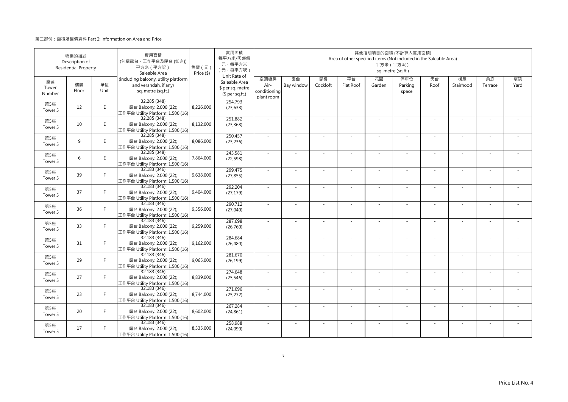|                       | 物業的描述<br>Description of<br><b>Residential Property</b> |            | 實用面積<br>(包括露台·工作平台及陽台(如有))<br>平方米 (平方呎)<br>Saleable Area                            | 售價 (元)<br>Price (\$) | 實用面積<br>每平方米/呎售價<br>元·每平方米<br>(元·每平方呎)                               |                                            |                          |                | Area of other specified items (Not included in the Saleable Area) | 平方米 (平方呎)                | 其他指明項目的面積 (不計算入實用面積)<br>sq. metre (sq.ft.) |            |                          |               |            |
|-----------------------|--------------------------------------------------------|------------|-------------------------------------------------------------------------------------|----------------------|----------------------------------------------------------------------|--------------------------------------------|--------------------------|----------------|-------------------------------------------------------------------|--------------------------|--------------------------------------------|------------|--------------------------|---------------|------------|
| 座號<br>Tower<br>Number | 樓層<br>Floor                                            | 單位<br>Unit | (including balcony, utility platform<br>and verandah, if any)<br>sq. metre (sq.ft.) |                      | Unit Rate of<br>Saleable Area<br>\$ per sq. metre<br>$$$ per sq.ft.) | 空調機房<br>Air-<br>conditioning<br>plant room | 窗台<br>Bay window         | 閣樓<br>Cockloft | 平台<br>Flat Roof                                                   | 花園<br>Garden             | 停車位<br>Parking<br>space                    | 天台<br>Roof | 梯屋<br>Stairhood          | 前庭<br>Terrace | 庭院<br>Yard |
| 第5座<br>Tower 5        | 12                                                     | E.         | 32.285 (348)<br>露台 Balcony: 2.000 (22);<br>工作平台 Utility Platform: 1.500 (16)        | 8,226,000            | 254,793<br>(23, 638)                                                 |                                            | ×,                       |                |                                                                   | $\sim$                   |                                            | $\sim$     | $\sim$                   |               |            |
| 第5座<br>Tower 5        | 10                                                     | E          | 32.285 (348)<br>露台 Balcony: 2.000 (22);<br>工作平台 Utility Platform: 1.500 (16)        | 8,132,000            | 251,882<br>(23, 368)                                                 | $\sim$                                     | $\sim$                   | $\sim$         | ÷.                                                                | ×.                       | $\sim$                                     | $\sim$     | $\sim$                   | $\sim$        |            |
| 第5座<br>Tower 5        | 9                                                      | E          | 32.285 (348)<br>露台 Balcony: 2.000 (22);<br>工作平台 Utility Platform: 1.500 (16)        | 8,086,000            | 250,457<br>(23, 236)                                                 | $\sim$                                     | ÷,                       |                | ÷.                                                                | $\sim$                   |                                            | $\sim$     | ä,                       |               |            |
| 第5座<br>Tower 5        | 6                                                      | E          | 32.285 (348)<br>露台 Balcony: 2.000 (22);<br>工作平台 Utility Platform: 1.500 (16)        | 7,864,000            | 243,581<br>(22, 598)                                                 | ÷.                                         | ä,                       |                |                                                                   |                          |                                            | $\sim$     | J.                       |               |            |
| 第5座<br>Tower 5        | 39                                                     | F.         | 32.183 (346)<br>露台 Balcony: 2.000 (22);<br>工作平台 Utility Platform: 1.500 (16)        | 9,638,000            | 299,475<br>(27, 855)                                                 | $\sim$                                     | $\sim$                   |                | ÷.                                                                | ×.                       | $\sim$                                     | $\sim$     | $\sim$                   | $\sim$        |            |
| 第5座<br>Tower 5        | 37                                                     | F.         | 32.183 (346)<br>露台 Balcony: 2.000 (22);<br>工作平台 Utility Platform: 1.500 (16)        | 9,404,000            | 292,204<br>(27, 179)                                                 | ÷,                                         | $\overline{\phantom{a}}$ |                |                                                                   | $\overline{\phantom{a}}$ |                                            | $\sim$     | $\overline{\phantom{a}}$ |               |            |
| 第5座<br>Tower 5        | 36                                                     | F          | 32.183 (346)<br>露台 Balcony: 2.000 (22);<br>工作平台 Utility Platform: 1.500 (16)        | 9,356,000            | 290.712<br>(27,040)                                                  | $\sim$                                     | ×.                       | $\sim$         | ÷.                                                                | ×.                       | $\sim$                                     | ×.         | ×.                       |               |            |
| 第5座<br>Tower 5        | 33                                                     | F.         | 32.183 (346)<br>露台 Balcony: 2.000 (22);<br>工作平台 Utility Platform: 1.500 (16)        | 9,259,000            | 287,698<br>(26, 760)                                                 | ×.                                         | ä,                       |                |                                                                   | ä,                       |                                            | $\sim$     | ä,                       |               |            |
| 第5座<br>Tower 5        | 31                                                     | F.         | 32.183 (346)<br>露台 Balcony: 2.000 (22);<br>工作平台 Utility Platform: 1.500 (16)        | 9,162,000            | 284,684<br>(26, 480)                                                 | ×.                                         | ÷,                       |                |                                                                   |                          |                                            | $\sim$     | ä,                       |               |            |
| 第5座<br>Tower 5        | 29                                                     | F.         | 32.183 (346)<br>露台 Balcony: 2.000 (22);<br>工作平台 Utility Platform: 1.500 (16)        | 9,065,000            | 281,670<br>(26, 199)                                                 | $\sim$                                     | $\sim$                   | $\sim$         | ×.                                                                | ×.                       | $\sim$                                     | $\sim$     | $\sim$                   | $\sim$        |            |
| 第5座<br>Tower 5        | 27                                                     | F.         | 32.183 (346)<br>露台 Balcony: 2.000 (22);<br>工作平台 Utility Platform: 1.500 (16)        | 8,839,000            | 274,648<br>(25, 546)                                                 | $\sim$                                     | $\sim$                   |                |                                                                   |                          |                                            | $\sim$     | $\sim$                   |               |            |
| 第5座<br>Tower 5        | 23                                                     | F.         | 32.183 (346)<br>露台 Balcony: 2.000 (22);<br>工作平台 Utility Platform: 1.500 (16)        | 8,744,000            | 271,696<br>(25, 272)                                                 | ×.                                         | ×.                       |                | ÷.                                                                | $\sim$                   | $\sim$                                     | ×.         | ×.                       |               |            |
| 第5座<br>Tower 5        | 20                                                     | F.         | 32.183 (346)<br>露台 Balcony: 2.000 (22);<br>工作平台 Utility Platform: 1.500 (16)        | 8,602,000            | 267,284<br>(24, 861)                                                 | ×.                                         | ÷,                       |                |                                                                   | ٠                        |                                            | $\sim$     | ÷                        |               |            |
| 第5座<br>Tower 5        | 17                                                     | F.         | 32.183 (346)<br>露台 Balcony: 2.000 (22);<br>工作平台 Utility Platform: 1.500 (16)        | 8,335,000            | 258,988<br>(24,090)                                                  | ÷,                                         |                          |                |                                                                   |                          |                                            | $\sim$     | ÷,                       |               |            |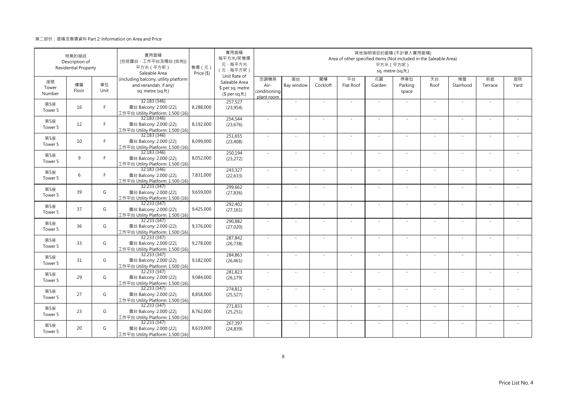|                       | 物業的描述<br>Description of<br><b>Residential Property</b> |            | 實用面積<br>(包括露台·工作平台及陽台(如有))<br>平方米 (平方呎)<br>Saleable Area                            | 售價 (元)<br>Price (\$) | 實用面積<br>每平方米/呎售價<br>元·每平方米<br>(元·每平方呎)<br>Unit Rate of |                                            |                          |                | Area of other specified items (Not included in the Saleable Area) | 其他指明項目的面積 (不計算入實用面積)<br>平方米 (平方呎)<br>sq. metre (sq.ft.) |                         |            |                          |               |            |
|-----------------------|--------------------------------------------------------|------------|-------------------------------------------------------------------------------------|----------------------|--------------------------------------------------------|--------------------------------------------|--------------------------|----------------|-------------------------------------------------------------------|---------------------------------------------------------|-------------------------|------------|--------------------------|---------------|------------|
| 座號<br>Tower<br>Number | 樓層<br>Floor                                            | 單位<br>Unit | (including balcony, utility platform<br>and verandah, if any)<br>sq. metre (sq.ft.) |                      | Saleable Area<br>\$ per sq. metre<br>$$$ per sq.ft.)   | 空調機房<br>Air-<br>conditioning<br>plant room | 窗台<br>Bay window         | 閣樓<br>Cockloft | 平台<br>Flat Roof                                                   | 花園<br>Garden                                            | 停車位<br>Parking<br>space | 天台<br>Roof | 梯屋<br>Stairhood          | 前庭<br>Terrace | 庭院<br>Yard |
| 第5座<br>Tower 5        | 16                                                     | F          | 32.183 (346)<br>露台 Balcony: 2.000 (22);<br>工作平台 Utility Platform: 1.500 (16)        | 8,288,000            | 257,527<br>(23,954)                                    |                                            | ÷,                       |                |                                                                   | ×.                                                      |                         | $\sim$     | $\sim$                   |               |            |
| 第5座<br>Tower 5        | 12                                                     | F.         | 32.183 (346)<br>露台 Balcony: 2.000 (22);<br>工作平台 Utility Platform: 1.500 (16)        | 8,192,000            | 254,544<br>(23, 676)                                   | $\sim$                                     | ×.                       | $\sim$         | ÷.                                                                | ×.                                                      | $\sim$                  | $\sim$     | $\sim$                   | $\sim$        |            |
| 第5座<br>Tower 5        | 10                                                     | F.         | 32.183 (346)<br>露台 Balcony: 2.000 (22);<br>工作平台 Utility Platform: 1.500 (16)        | 8,099,000            | 251,655<br>(23, 408)                                   | $\sim$                                     | $\sim$                   |                | ÷.                                                                | $\sim$                                                  |                         | $\sim$     | ÷                        |               |            |
| 第5座<br>Tower 5        | 9                                                      | F          | 32.183 (346)<br>露台 Balcony: 2.000 (22);<br>工作平台 Utility Platform: 1.500 (16)        | 8,052,000            | 250,194<br>(23, 272)                                   | ×.                                         | $\sim$                   |                |                                                                   | ٠                                                       |                         | $\sim$     | ×.                       |               |            |
| 第5座<br>Tower 5        | 6                                                      | F.         | 32.183 (346)<br>露台 Balcony: 2.000 (22);<br>工作平台 Utility Platform: 1.500 (16)        | 7,831,000            | 243,327<br>(22, 633)                                   | $\sim$                                     | $\sim$                   |                | ÷.                                                                | $\sim$                                                  | $\sim$                  | $\sim$     | ×.                       |               |            |
| 第5座<br>Tower 5        | 39                                                     | G          | 32.233 (347)<br>露台 Balcony: 2.000 (22);<br>工作平台 Utility Platform: 1.500 (16)        | 9,659,000            | 299,662<br>(27, 836)                                   | $\sim$                                     |                          |                |                                                                   |                                                         |                         | $\sim$     | ÷,                       |               |            |
| 第5座<br>Tower 5        | 37                                                     | G          | 32.233 (347)<br>露台 Balcony: 2.000 (22);<br>工作平台 Utility Platform: 1.500 (16)        | 9,425,000            | 292,402<br>(27, 161)                                   | $\sim$                                     | ×.                       | $\sim$         | ×.                                                                | ×.                                                      | $\sim$                  | $\sim$     | $\sim$                   | $\sim$        | $\sim$     |
| 第5座<br>Tower 5        | 36                                                     | G          | 32.233(347)<br>露台 Balcony: 2.000 (22);<br>工作平台 Utility Platform: 1.500 (16)         | 9,376,000            | 290,882<br>(27, 020)                                   | ×.                                         |                          |                |                                                                   |                                                         |                         | $\sim$     | ä,                       |               |            |
| 第5座<br>Tower 5        | 33                                                     | G          | 32.233 (347)<br>露台 Balcony: 2.000 (22);<br>工作平台 Utility Platform: 1.500 (16)        | 9,278,000            | 287,842<br>(26, 738)                                   | ÷.                                         | ÷,                       |                | ÷.                                                                | ×.                                                      |                         | ×.         | ×.                       |               |            |
| 第5座<br>Tower 5        | 31                                                     | G          | 32.233 (347)<br>露台 Balcony: 2.000 (22);<br>工作平台 Utility Platform: 1.500 (16)        | 9,182,000            | 284,863<br>(26, 461)                                   | ÷.                                         | ÷,                       |                | ÷.                                                                | ×.                                                      | ×.                      | $\sim$     | ä,                       |               |            |
| 第5座<br>Tower 5        | 29                                                     | G          | 32.233 (347)<br>露台 Balcony: 2.000 (22);<br>工作平台 Utility Platform: 1.500 (16)        | 9,084,000            | 281,823<br>(26, 179)                                   | $\sim$                                     | ÷,                       |                | ÷,                                                                | ÷,                                                      |                         | ×.         | ×.                       |               |            |
| 第5座<br>Tower 5        | 27                                                     | G          | 32.233 (347)<br>露台 Balcony: 2.000 (22);<br>工作平台 Utility Platform: 1.500 (16)        | 8,858,000            | 274,812<br>(25, 527)                                   | ÷.                                         | ÷,                       |                | ÷,                                                                | $\sim$                                                  | $\sim$                  | $\sim$     | ä,                       |               |            |
| 第5座<br>Tower 5        | 23                                                     | G          | 32.233 (347)<br>露台 Balcony: 2.000 (22);<br>工作平台 Utility Platform: 1.500 (16)        | 8,762,000            | 271,833<br>(25, 251)                                   | ÷.                                         |                          |                |                                                                   |                                                         |                         | ×.         |                          |               |            |
| 第5座<br>Tower 5        | 20                                                     | G          | 32.233 (347)<br>露台 Balcony: 2.000 (22);<br>工作平台 Utility Platform: 1.500 (16)        | 8,619,000            | 267,397<br>(24, 839)                                   | ×.                                         | $\overline{\phantom{a}}$ |                | ÷.                                                                | $\sim$                                                  |                         | ×.         | $\overline{\phantom{a}}$ |               |            |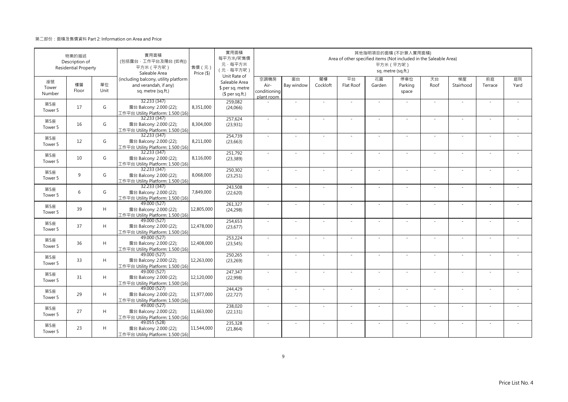|                       | 物業的描述<br>Description of<br><b>Residential Property</b> |            | 實用面積<br>(包括露台·工作平台及陽台(如有))<br>平方米 (平方呎)<br>Saleable Area                            | 售價 (元)<br>Price (\$) | 實用面積<br>每平方米/呎售價<br>元·每平方米<br>(元·每平方呎)<br>Unit Rate of |                                            |                          |                | Area of other specified items (Not included in the Saleable Area) | 其他指明項目的面積 (不計算入實用面積)<br>平方米 (平方呎) | sq. metre (sq.ft.)      |            |                          |               |            |
|-----------------------|--------------------------------------------------------|------------|-------------------------------------------------------------------------------------|----------------------|--------------------------------------------------------|--------------------------------------------|--------------------------|----------------|-------------------------------------------------------------------|-----------------------------------|-------------------------|------------|--------------------------|---------------|------------|
| 座號<br>Tower<br>Number | 樓層<br>Floor                                            | 單位<br>Unit | (including balcony, utility platform<br>and verandah, if any)<br>sq. metre (sq.ft.) |                      | Saleable Area<br>\$ per sq. metre<br>$$$ per sq.ft.)   | 空調機房<br>Air-<br>conditioning<br>plant room | 窗台<br>Bay window         | 閣樓<br>Cockloft | 平台<br>Flat Roof                                                   | 花園<br>Garden                      | 停車位<br>Parking<br>space | 天台<br>Roof | 梯屋<br>Stairhood          | 前庭<br>Terrace | 庭院<br>Yard |
| 第5座<br>Tower 5        | 17                                                     | G          | 32.233 (347)<br>露台 Balcony: 2.000 (22);<br>工作平台 Utility Platform: 1.500 (16)        | 8,351,000            | 259,082<br>(24,066)                                    |                                            | ×,                       |                |                                                                   | ×.                                |                         | $\sim$     | $\sim$                   |               |            |
| 第5座<br>Tower 5        | 16                                                     | G          | 32.233(347)<br>露台 Balcony: 2.000 (22);<br>工作平台 Utility Platform: 1.500 (16)         | 8,304,000            | 257.624<br>(23,931)                                    | $\sim$                                     | ×.                       | $\sim$         | ÷.                                                                | ×.                                | $\sim$                  | $\sim$     | $\sim$                   | $\sim$        |            |
| 第5座<br>Tower 5        | 12                                                     | G          | 32.233 (347)<br>露台 Balcony: 2.000 (22);<br>工作平台 Utility Platform: 1.500 (16)        | 8,211,000            | 254,739<br>(23, 663)                                   | $\sim$                                     | $\sim$                   |                | ÷.                                                                | $\sim$                            |                         | $\sim$     | ÷                        |               |            |
| 第5座<br>Tower 5        | 10                                                     | G          | 32.233(347)<br>露台 Balcony: 2.000 (22);<br>工作平台 Utility Platform: 1.500 (16)         | 8,116,000            | 251,792<br>(23, 389)                                   | ×.                                         | $\sim$                   |                |                                                                   | ٠                                 |                         | $\sim$     | ٠                        |               |            |
| 第5座<br>Tower 5        | 9                                                      | G          | 32.233 (347)<br>露台 Balcony: 2.000 (22);<br>工作平台 Utility Platform: 1.500 (16)        | 8,068,000            | 250,302<br>(23, 251)                                   | $\sim$                                     | ×,                       |                | ÷.                                                                | $\sim$                            | $\sim$                  | $\sim$     | ٠                        |               |            |
| 第5座<br>Tower 5        | 6                                                      | G          | 32.233 (347)<br>露台 Balcony: 2.000 (22);<br>工作平台 Utility Platform: 1.500 (16)        | 7,849,000            | 243,508<br>(22,620)                                    | ÷,                                         |                          |                |                                                                   |                                   |                         | $\sim$     | ÷,                       |               |            |
| 第5座<br>Tower 5        | 39                                                     | H          | 49.000 (527)<br>露台 Balcony: 2.000 (22);<br>工作平台 Utility Platform: 1.500 (16)        | 12,805,000           | 261,327<br>(24, 298)                                   | $\sim$                                     | ×.                       | $\sim$         | ×.                                                                | ×.                                | $\sim$                  | $\sim$     | $\sim$                   | $\sim$        | $\sim$     |
| 第5座<br>Tower 5        | 37                                                     | H          | 49.000 (527)<br>露台 Balcony: 2.000 (22);<br>工作平台 Utility Platform: 1.500 (16)        | 12,478,000           | 254,653<br>(23, 677)                                   | ×.                                         |                          |                |                                                                   |                                   |                         | $\sim$     | ä,                       |               |            |
| 第5座<br>Tower 5        | 36                                                     | H          | 49.000 (527)<br>露台 Balcony: 2.000 (22);<br>工作平台 Utility Platform: 1.500 (16)        | 12,408,000           | 253,224<br>(23, 545)                                   | ÷.                                         | ÷,                       |                | ÷.                                                                | ×.                                |                         | ×.         | ×.                       |               |            |
| 第5座<br>Tower 5        | 33                                                     | H          | 49.000 (527)<br>露台 Balcony: 2.000 (22);<br>工作平台 Utility Platform: 1.500 (16)        | 12,263,000           | 250,265<br>(23, 269)                                   | ÷.                                         | ÷,                       |                | ÷.                                                                | ×.                                | ×.                      | $\sim$     | ä,                       |               |            |
| 第5座<br>Tower 5        | 31                                                     | H          | 49.000 (527)<br>露台 Balcony: 2.000 (22);<br>工作平台 Utility Platform: 1.500 (16)        | 12,120,000           | 247,347<br>(22,998)                                    | $\sim$                                     | ÷,                       |                | ÷,                                                                | ÷,                                |                         | ×.         | ×.                       |               |            |
| 第5座<br>Tower 5        | 29                                                     | H          | 49.000 (527)<br>露台 Balcony: 2.000 (22);<br>工作平台 Utility Platform: 1.500 (16)        | 11,977,000           | 244,429<br>(22, 727)                                   | ÷.                                         | ÷,                       |                | ÷,                                                                | $\sim$                            | $\sim$                  | $\sim$     | ä,                       |               |            |
| 第5座<br>Tower 5        | 27                                                     | H          | 49.000 (527)<br>露台 Balcony: 2.000 (22);<br>工作平台 Utility Platform: 1.500 (16)        | 11,663,000           | 238,020<br>(22, 131)                                   | ÷.                                         |                          |                |                                                                   |                                   |                         | ×.         |                          |               |            |
| 第5座<br>Tower 5        | 23                                                     | H          | 49.055 (528)<br>露台 Balcony: 2.000 (22);<br>工作平台 Utility Platform: 1.500 (16)        | 11,544,000           | 235,328<br>(21, 864)                                   | ×.                                         | $\overline{\phantom{a}}$ |                | ÷.                                                                | $\sim$                            |                         | ×.         | $\overline{\phantom{a}}$ |               |            |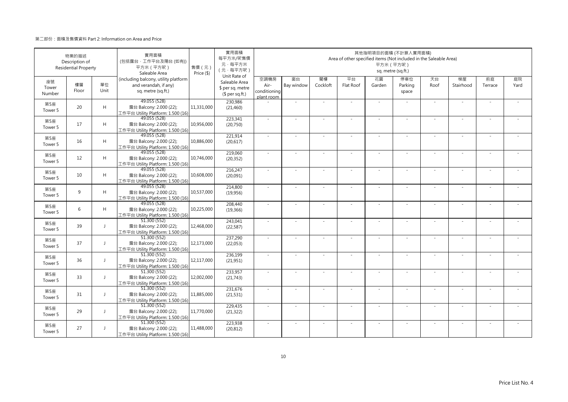|                           | 物業的描述<br>Description of<br><b>Residential Property</b> |                          | 實用面積<br>(包括露台·工作平台及陽台(如有))<br>平方米 (平方呎)<br>Saleable Area                            | 售價 (元)<br>Price (\$) | 實用面積<br>每平方米/呎售價<br>元·每平方米<br>(元·每平方呎)                               |                                            |                  |                | Area of other specified items (Not included in the Saleable Area) | 平方米 (平方呎)    | 其他指明項目的面積 (不計算入實用面積)<br>sq. metre (sq.ft.) |            |                 |               |            |
|---------------------------|--------------------------------------------------------|--------------------------|-------------------------------------------------------------------------------------|----------------------|----------------------------------------------------------------------|--------------------------------------------|------------------|----------------|-------------------------------------------------------------------|--------------|--------------------------------------------|------------|-----------------|---------------|------------|
| 座號<br>Tower<br>Number     | 樓層<br>Floor                                            | 單位<br>Unit               | (including balcony, utility platform<br>and verandah, if any)<br>sq. metre (sq.ft.) |                      | Unit Rate of<br>Saleable Area<br>\$ per sq. metre<br>$$$ per sq.ft.) | 空調機房<br>Air-<br>conditioning<br>plant room | 窗台<br>Bay window | 閣樓<br>Cockloft | 平台<br>Flat Roof                                                   | 花園<br>Garden | 停車位<br>Parking<br>space                    | 天台<br>Roof | 梯屋<br>Stairhood | 前庭<br>Terrace | 庭院<br>Yard |
| 第5座<br>Tower 5            | 20                                                     | H                        | 49.055 (528)<br>露台 Balcony: 2.000 (22);<br>工作平台 Utility Platform: 1.500 (16)        | 11,331,000           | 230,986<br>(21, 460)                                                 |                                            | ×.               |                | ÷.                                                                | $\sim$       |                                            | $\sim$     | $\sim$          |               |            |
| 第5座<br>Tower 5            | 17                                                     | H                        | 49.055 (528)<br>露台 Balcony: 2.000 (22);<br>工作平台 Utility Platform: 1.500 (16)        | 10,956,000           | 223,341<br>(20,750)                                                  | $\sim$                                     | ×.               | $\sim$         | $\sim$                                                            | ×.           | $\sim$                                     | $\sim$     | $\sim$          |               |            |
| 第5座<br>Tower 5            | 16                                                     | H                        | 49.055 (528)<br>露台 Balcony: 2.000 (22);<br>工作平台 Utility Platform: 1.500 (16)        | 10,886,000           | 221,914<br>(20,617)                                                  | $\sim$                                     | ×.               |                | ÷.                                                                | ÷,           |                                            | $\sim$     | ÷.              |               |            |
| 第5座<br>Tower 5            | 12                                                     | H                        | 49.055 (528)<br>露台 Balcony: 2.000 (22);<br>工作平台 Utility Platform: 1.500 (16)        | 10,746,000           | 219,060<br>(20, 352)                                                 | ×.                                         | $\sim$           |                |                                                                   | ÷,           |                                            | $\sim$     | ٠               |               |            |
| 第5座<br>Tower 5            | 10                                                     | H                        | 49.055 (528)<br>露台 Balcony: 2.000 (22);<br>工作平台 Utility Platform: 1.500 (16)        | 10,608,000           | 216,247<br>(20,091)                                                  | $\sim$                                     | $\sim$           |                | $\overline{\phantom{a}}$                                          | $\sim$       | $\sim$                                     | $\sim$     | ×.              |               |            |
| 第5座<br>Tower 5            | 9                                                      | H                        | 49.055 (528)<br>露台 Balcony: 2.000 (22);<br>工作平台 Utility Platform: 1.500 (16)        | 10,537,000           | 214,800<br>(19,956)                                                  |                                            |                  |                |                                                                   |              |                                            |            |                 |               |            |
| 第5座<br>Tower 5            | 6                                                      | H                        | 49.055 (528)<br>露台 Balcony: 2.000 (22);<br>工作平台 Utility Platform: 1.500 (16)        | 10,225,000           | 208,440<br>(19, 366)                                                 | $\sim$                                     | ×.               | $\sim$         | ÷.                                                                | ÷.           | $\sim$                                     | $\sim$     | $\sim$          | $\sim$        | $\sim$     |
| 第5座<br>Tower 5            | 39                                                     | J                        | 51.300 (552)<br>露台 Balcony: 2.000 (22);<br>工作平台 Utility Platform: 1.500 (16)        | 12,468,000           | 243,041<br>(22, 587)                                                 | $\sim$                                     |                  |                |                                                                   |              |                                            | $\sim$     |                 |               |            |
| 第5座<br>Tower 5            | 37                                                     | $\overline{\phantom{a}}$ | 51.300 (552)<br>露台 Balcony: 2.000 (22);<br>工作平台 Utility Platform: 1.500 (16)        | 12,173,000           | 237,290<br>(22,053)                                                  | ×.                                         | ×.               |                | ÷.                                                                | ÷.           |                                            | $\sim$     | ×.              |               |            |
| 第5座<br>Tower <sub>5</sub> | 36                                                     | $\mathbf{I}$             | 51.300 (552)<br>露台 Balcony: 2.000 (22);<br>工作平台 Utility Platform: 1.500 (16)        | 12,117,000           | 236,199<br>(21,951)                                                  | $\sim$                                     | $\sim$           |                | ÷.                                                                | ÷.           | $\sim$                                     | $\sim$     | $\sim$          |               |            |
| 第5座<br>Tower 5            | 33                                                     | $\mathbf{I}$             | 51.300 (552)<br>露台 Balcony: 2.000 (22);<br>工作平台 Utility Platform: 1.500 (16)        | 12,002,000           | 233,957<br>(21, 743)                                                 | $\sim$                                     | ×.               |                | ÷.                                                                | ÷.           |                                            | ×.         | ÷,              |               |            |
| 第5座<br>Tower 5            | 31                                                     | J                        | 51.300 (552)<br>露台 Balcony: 2.000 (22);<br>工作平台 Utility Platform: 1.500 (16)        | 11,885,000           | 231,676<br>(21, 531)                                                 | $\sim$                                     | $\sim$           | $\sim$         | ÷,                                                                | ÷,           | $\sim$                                     | $\sim$     | $\sim$          |               |            |
| 第5座<br>Tower 5            | 29                                                     | J                        | 51.300 (552)<br>露台 Balcony: 2.000 (22);<br>工作平台 Utility Platform: 1.500 (16)        | 11,770,000           | 229,435<br>(21, 322)                                                 | $\sim$                                     |                  |                |                                                                   |              |                                            |            |                 |               |            |
| 第5座<br>Tower 5            | 27                                                     | $\overline{1}$           | 51.300 (552)<br>露台 Balcony: 2.000 (22);<br>工作平台 Utility Platform: 1.500 (16)        | 11,488,000           | 223,938<br>(20, 812)                                                 | ×.                                         | ×.               |                | $\sim$                                                            | $\sim$       |                                            | ×.         | $\sim$          |               |            |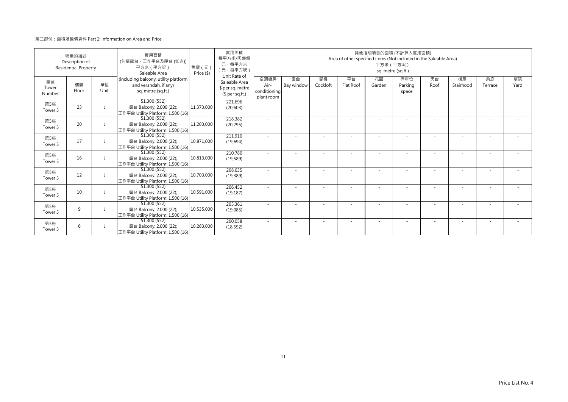| 物業的描述<br>Description of<br><b>Residential Property</b> |             |            | 實用面積<br>(包括露台·工作平台及陽台 (如有))<br>平方米 (平方呎)<br>Saleable Area                           | 售價 (元)<br>Price (\$) | 實用面積<br>每平方米/呎售價<br>元·每平方米<br>(元·每平方呎)                               | 其他指明項目的面積 (不計算入實用面積)<br>Area of other specified items (Not included in the Saleable Area)<br>平方米 (平方呎)<br>sq. metre (sq.ft.) |                  |                          |                 |              |                          |            |                          |                          |            |
|--------------------------------------------------------|-------------|------------|-------------------------------------------------------------------------------------|----------------------|----------------------------------------------------------------------|------------------------------------------------------------------------------------------------------------------------------|------------------|--------------------------|-----------------|--------------|--------------------------|------------|--------------------------|--------------------------|------------|
| 座號<br>Tower<br>Number                                  | 樓層<br>Floor | 單位<br>Unit | (including balcony, utility platform<br>and verandah, if any)<br>sq. metre (sq.ft.) |                      | Unit Rate of<br>Saleable Area<br>\$ per sq. metre<br>$$$ per sq.ft.) | 空調機房<br>Air-<br>conditioning<br>plant room                                                                                   | 窗台<br>Bay window | 閣樓<br>Cockloft           | 平台<br>Flat Roof | 花園<br>Garden | 停車位<br>Parking<br>space  | 天台<br>Roof | 梯屋<br>Stairhood          | 前庭<br>Terrace            | 庭院<br>Yard |
| 第5座<br>Tower 5                                         | 23          |            | 51.300 (552)<br>露台 Balcony: 2.000 (22);<br>工作平台 Utility Platform: 1.500 (16)        | 11,373,000           | 221,696<br>(20, 603)                                                 |                                                                                                                              | ٠                |                          |                 |              |                          |            |                          |                          |            |
| 第5座<br>Tower 5                                         | 20          |            | 51.300 (552)<br>露台 Balcony: 2.000 (22);<br>工作平台 Utility Platform: 1.500 (16)        | 11,203,000           | 218,382<br>(20, 295)                                                 |                                                                                                                              |                  |                          |                 |              |                          |            | $\overline{\phantom{a}}$ | $\overline{\phantom{a}}$ |            |
| 第5座<br>Tower 5                                         | 17          |            | 51.300 (552)<br>露台 Balcony: 2.000 (22);<br>工作平台 Utility Platform: 1.500 (16)        | 10,871,000           | 211,910<br>(19,694)                                                  |                                                                                                                              |                  |                          |                 |              |                          |            |                          |                          |            |
| 第5座<br>Tower 5                                         | 16          |            | 51.300 (552)<br>露台 Balcony: 2.000 (22);<br>工作平台 Utility Platform: 1.500 (16)        | 10,813,000           | 210,780<br>(19, 589)                                                 |                                                                                                                              |                  |                          |                 |              |                          |            |                          |                          |            |
| 第5座<br>Tower 5                                         | 12          |            | 51.300 (552)<br>露台 Balcony: 2.000 (22);<br>工作平台 Utility Platform: 1.500 (16)        | 10.703.000           | 208,635<br>(19, 389)                                                 |                                                                                                                              |                  |                          |                 |              |                          |            |                          |                          |            |
| 第5座<br>Tower 5                                         | 10          |            | 51.300 (552)<br>露台 Balcony: 2.000 (22);<br>工作平台 Utility Platform: 1.500 (16)        | 10,591,000           | 206,452<br>(19, 187)                                                 |                                                                                                                              |                  |                          |                 |              | $\overline{\phantom{a}}$ |            |                          |                          |            |
| 第5座<br>Tower 5                                         | 9           |            | 51.300(552)<br>露台 Balcony: 2.000 (22);<br>工作平台 Utility Platform: 1.500 (16)         | 10,535,000           | 205,361<br>(19,085)                                                  |                                                                                                                              |                  |                          |                 |              |                          |            |                          |                          |            |
| 第5座<br>Tower 5                                         | 6           |            | 51.300 (552)<br>露台 Balcony: 2.000 (22);<br>工作平台 Utility Platform: 1.500 (16)        | 10,263,000           | 200,058<br>(18, 592)                                                 | $\sim$                                                                                                                       | ٠                | $\overline{\phantom{a}}$ |                 | ٠            | $\sim$                   | $\sim$     | ٠                        | ٠                        |            |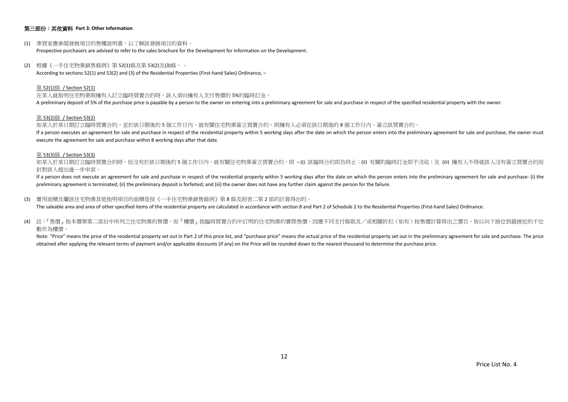## 第三部份:其他資料 **Part 3: Other Information**

- (1) 準買家應參閱發展項目的售樓說明書,以了解該發展項目的資料。 Prospective purchasers are advised to refer to the sales brochure for the Development for information on the Development.
- (2) 根據《一手住宅物業銷售條例》第 52(1)條及第 53(2)及(3)條, According to sections 52(1) and 53(2) and (3) of the Residential Properties (First-hand Sales) Ordinance, –

#### 第 52(1)條 / Section 52(1)

在某人就指明住宅物業與擁有人訂立臨時買賣合約時,該人須向擁有人支付售價的 5%的臨時訂金。 A preliminary deposit of 5% of the purchase price is payable by a person to the owner on entering into a preliminary agreement for sale and purchase in respect of the specified residential property with the owner.

#### 第 53(2)條 / Section 53(2)

如某人於某日期訂立臨時買賣合約,並於該日期後的5個工作日內,就有關住宅物業簽立買賣合約,則擁有人必須在該日期後的8個工作日内,簽立該買賣合約。 If a person executes an agreement for sale and purchase in respect of the residential property within 5 working days after the date on which the person enters into the preliminary agreement for sale and purchase, the owner execute the agreement for sale and purchase within 8 working days after that date.

#### 第 53(3)條 / Section 53(3)

如某人於某日期訂立臨時買賣合約時,但沒有於該日期後的 5 個工作日内,就有關住宅物業簽立買賣合約,則 –(i) 該臨時合約即告終止;(ii) 有關的臨時訂金即予沒收;及 (iii) 擁有人不得就該人沒有簽立買賣合約而 針對該人提出進一步申索。

If a person does not execute an agreement for sale and purchase in respect of the residential property within 5 working days after the date on which the person enters into the preliminary agreement for sale and purchase- ( preliminary agreement is terminated; (ii) the preliminary deposit is forfeited; and (iii) the owner does not have any further claim against the person for the failure.

(3) 實用面積及屬該住宅物業其他指明項目的面積是按《一手住宅物業銷售條例》第 8 條及附表二第 2 部的計算得出的。

The saleable area and area of other specified items of the residential property are calculated in accordance with section 8 and Part 2 of Schedule 2 to the Residential Properties (First-hand Sales) Ordinance.

(4) 註:『售價』指本價單第二部份中所列之住宅物業的售價,而『樓價』指臨時買賣合約中訂明的住宅物業的實際售價。因應不同支付條款及/或相關折扣(如有)按售價計算得出之價目,皆以向下捨位到最接近的千位 數作為樓價。

Note: "Price" means the price of the residential property set out in Part 2 of this price list, and "purchase price" means the actual price of the residential property set out in the preliminary agreement for sale and purc obtained after applying the relevant terms of payment and/or applicable discounts (if any) on the Price will be rounded down to the nearest thousand to determine the purchase price.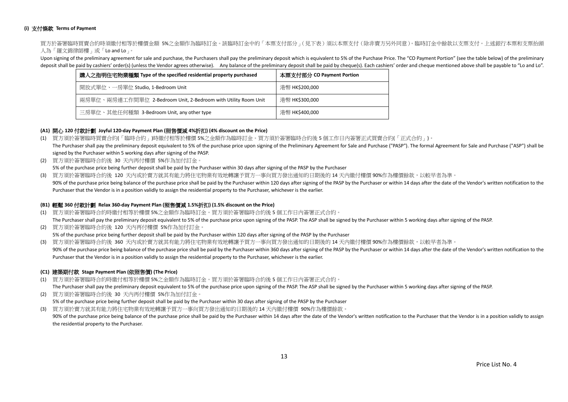### **(i)** 支付條款 **Terms of Payment**

買方於簽署臨時買賣合約時須繳付相等於樓價金額 5%之金額作為臨時訂金。該臨時訂金中的「本票支付部分」(見下表)須以本票支付(除非賣方另外同意)。臨時訂金中餘款以支票支付。上述銀行本票和支票抬頭 人為「羅文錦律師樓」或「Lo and Lo」。

Upon signing of the preliminary agreement for sale and purchase, the Purchasers shall pay the preliminary deposit which is equivalent to 5% of the Purchase Price. The "CO Payment Portion" (see the table below) of the preli deposit shall be paid by cashiers' order(s) (unless the Vendor agrees otherwise). Any balance of the preliminary deposit shall be paid by cheque(s). Each cashiers' order and cheque mentioned above shall be payable to "Lo a

| 購入之指明住宅物業種類 Type of the specified residential property purchased | 本票支付部分 CO Payment Portion |  |  |  |  |
|------------------------------------------------------------------|---------------------------|--|--|--|--|
| 開放式單位、一房單位 Studio, 1-Bedroom Unit                                | 港幣 HK\$200,000            |  |  |  |  |
| 兩房單位、兩房連工作間單位 2-Bedroom Unit, 2-Bedroom with Utility Room Unit   | 港幣 HK\$300,000            |  |  |  |  |
| 三房單位、其他任何種類 3-Bedroom Unit, any other type                       | 港幣 HK\$400,000            |  |  |  |  |

## **(A1)** 開心 **120** 付款計劃 **Joyful 120-day Payment Plan (**照售價減 **4%**折扣**) (4% discount on the Price)**

- (1) 買方須於簽署臨時買賣合約(「臨時合約」)時繳付相等於樓價 5%之金額作為臨時訂金。買方須於簽署臨時合約後 5 個工作日內簽署正式買賣合約(「正式合約」)。 The Purchaser shall pay the preliminary deposit equivalent to 5% of the purchase price upon signing of the Preliminary Agreement for Sale and Purchase ("PASP"). The formal Agreement for Sale and Purchase ("ASP") shall be signed by the Purchaser within 5 working days after signing of the PASP.
- (2) 買方須於簽署臨時合約後 30 天內再付樓價 5%作為加付訂金。 5% of the purchase price being further deposit shall be paid by the Purchaser within 30 days after signing of the PASP by the Purchaser
- (3) 買方須於簽署臨時合約後 120 天內或於賣方就其有能力將住宅物業有效地轉讓予買方一事向買方發出通知的日期後的 14 天內繳付樓價 90%作為樓價餘款,以較早者為準。
- 90% of the purchase price being balance of the purchase price shall be paid by the Purchaser within 120 days after signing of the PASP by the Purchaser or within 14 days after the date of the Vendor's written notification Purchaser that the Vendor is in a position validly to assign the residential property to the Purchaser, whichever is the earlier.

#### **(B1)** 輕鬆 **360** 付款計劃 **Relax 360-day Payment Plan (**照售價減 **1.5%**折扣**) (1.5% discount on the Price)**

- (1) 買方須於簽署臨時合約時繳付相等於樓價 5%之金額作為臨時訂金。買方須於簽署臨時合約後 5 個工作日內簽署正式合約。 The Purchaser shall pay the preliminary deposit equivalent to 5% of the purchase price upon signing of the PASP. The ASP shall be signed by the Purchaser within 5 working days after signing of the PASP.
- (2) 買方須於簽署臨時合約後 120 天內再付樓價 5%作為加付訂金。 5% of the purchase price being further deposit shall be paid by the Purchaser within 120 days after signing of the PASP by the Purchaser

(3) 買方須於簽署臨時合約後 360 天內或於賣方就其有能力將住宅物業有效地轉讓予買方一事向買方發出通知的日期後的 14 天內繳付樓價 90%作為樓價餘款,以較早者為準。 90% of the purchase price being balance of the purchase price shall be paid by the Purchaser within 360 days after signing of the PASP by the Purchaser or within 14 days after the date of the Vendor's written notification Purchaser that the Vendor is in a position validly to assign the residential property to the Purchaser, whichever is the earlier.

## **(C1)** 建築期付款 **Stage Payment Plan (**依照售價**) (The Price)**

(1) 買方須於簽署臨時合約時繳付相等於樓價 5%之金額作為臨時訂金。買方須於簽署臨時合約後 5 個工作日內簽署正式合約。

The Purchaser shall pay the preliminary deposit equivalent to 5% of the purchase price upon signing of the PASP. The ASP shall be signed by the Purchaser within 5 working days after signing of the PASP.

(2) 買方須於簽署臨時合約後 30 天內再付樓價 5%作為加付訂金。 5% of the purchase price being further deposit shall be paid by the Purchaser within 30 days after signing of the PASP by the Purchaser (3) 買方須於賣方就其有能力將住宅物業有效地轉讓予買方一事向買方發出通知的日期後的 14 天內繳付樓價 90%作為樓價餘款。

90% of the purchase price being balance of the purchase price shall be paid by the Purchaser within 14 days after the date of the Vendor's written notification to the Purchaser that the Vendor is in a position validly to a the residential property to the Purchaser.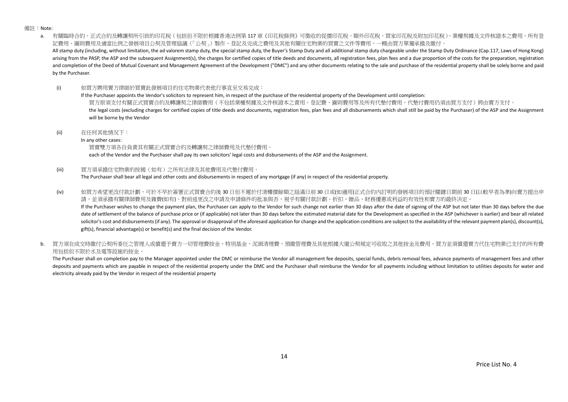備註:Note:

a. 有關臨時合約、正式合約及轉讓契所引致的印花稅(包括但不限於根據香港法例第 117 章《印花稅條例》可徵收的從價印花稅、額外印花稅、買家印花稅及附加印花稅)、業權契據及文件核證本之費用、所有登 記費用、圖則費用及適當比例之發展項目公契及管理協議(「公契」)製作、登記及完成之費用及其他有關住宅物業的買賣之文件等費用,一概由買方單獨承擔及繳付。 All stamp duty (including, without limitation, the ad valorem stamp duty, the special stamp duty, the Buyer's Stamp Duty and all additional stamp duty chargeable under the Stamp Duty Ordinance (Cap.117, Laws of Hong Kong) arising from the PASP, the ASP and the subsequent Assignment(s), the charges for certified copies of title deeds and documents, all registration fees, plan fees and a due proportion of the costs for the preparation, regist and completion of the Deed of Mutual Covenant and Management Agreement of the Development ("DMC") and any other documents relating to the sale and purchase of the residential property shall be solely borne and paid by the Purchaser.

(i) 如買方聘用賣方律師於買賣此發展項目的住宅物業代表他行事直至交易完成:

If the Purchaser appoints the Vendor's solicitors to represent him, in respect of the purchase of the residential property of the Development until completion: 買方原須支付有關正式買賣合約及轉讓契之律師費用(不包括業權契據及文件核證本之責用、登記費、圖則費用等及所有代墊付費用,代墊付費用仍須由買方支付)將由賣方支付。 the legal costs (excluding charges for certified copies of title deeds and documents, registration fees, plan fees and all disbursements which shall still be paid by the Purchaser) of the ASP and the Assignment will be borne by the Vendor

(ii) 在任何其他情況下:

In any other cases:

買賣雙方須各自負責其有關正式買賣合約及轉讓契之律師費用及代墊付費用。

each of the Vendor and the Purchaser shall pay its own solicitors' legal costs and disbursements of the ASP and the Assignment.

(iii) 買方須承擔住宅物業的按揭(如有)之所有法律及其他費用及代墊付費用。

The Purchaser shall bear all legal and other costs and disbursements in respect of any mortgage (if any) in respect of the residential property.

(iv) 如買方希望更改付款計劃,可於不早於簽署正式買賣合約後 30 日但不遲於付清樓價餘額之屆滿日前 30 日或(如適用)正式合約內訂明的發展項目的預計關鍵日期前 30 日(以較早者為準)向賣方提出申 請,並須承擔有關律師費用及雜費(如有)。對前述更改之申請及申請條件的批准與否,視乎有關付款計劃、折扣、贈品、財務優惠或利益的有效性和賣方的最終決定。 If the Purchaser wishes to change the payment plan, the Purchaser can apply to the Vendor for such change not earlier than 30 days after the date of signing of the ASP but not later than 30 days before the due

date of settlement of the balance of purchase price or (if applicable) not later than 30 days before the estimated material date for the Development as specified in the ASP (whichever is earlier) and bear all related solicitor's cost and disbursements (if any). The approval or disapproval of the aforesaid application for change and the application conditions are subject to the availability of the relevant payment plan(s), discount(s), gift(s), financial advantage(s) or benefit(s) and the final decision of the Vendor.

b. 冒方須在成交時繳付公契所委任之管理人或償還予賣方一切管理費按金、特別基金、泥頭清理費、預繳管理費及其他根據大廈公契規定可收取之其他按金及費用,買方並須償還賣方代住宅物業已支付的所有費 用包括但不限於水及電等設施的按金。

The Purchaser shall on completion pay to the Manager appointed under the DMC or reimburse the Vendor all management fee deposits, special funds, debris removal fees, advance payments of management fees and other deposits and payments which are payable in respect of the residential property under the DMC and the Purchaser shall reimburse the Vendor for all payments including without limitation to utilities deposits for water and electricity already paid by the Vendor in respect of the residential property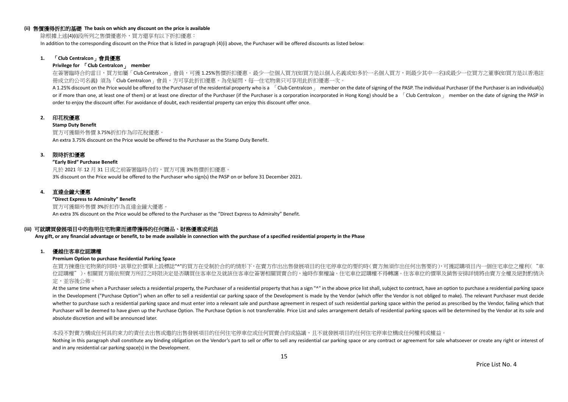#### **(ii)** 售價獲得折扣的基礎 **The basis on which any discount on the price is available**

除根據上述(4)(i)段所列之售價優惠外,買方還享有以下折扣優惠:

In addition to the corresponding discount on the Price that is listed in paragraph (4)(i) above, the Purchaser will be offered discounts as listed below:

## **1.** 「**Club Centralcon**」會員優惠

#### **Privilege for** 「**Club Centralcon**」 **member**

在簽署臨時合約當日,買方如屬「Club Centralcon」會員,可獲 1.25%售價折扣優惠。最少一位個人買方(如買方是以個人名義或如多於一名個人買方,則最少其中一名)或最少一位買方之董事(如買方是以香港註 冊成立的公司名義) 須為「Club Centralcon」會員,方可享此折扣優惠。為免疑問,每一住宅物業只可享用此折扣優惠一次。

A 1.25% discount on the Price would be offered to the Purchaser of the residential property who is a [Club Centralcon ] member on the date of signing of the PASP. The individual Purchaser (if the Purchaser is an individual or if more than one, at least one of them) or at least one director of the Purchaser (if the Purchaser is a corporation incorporated in Hong Kong) should be a  $\overline{C}$ Club Centralcon  $\overline{C}$  member on the date of signing order to enjoy the discount offer. For avoidance of doubt, each residential property can enjoy this discount offer once.

## **2.** 印花稅優惠

#### **Stamp Duty Benefit**

買方可獲額外售價 3.75%折扣作為印花稅優惠。 An extra 3.75% discount on the Price would be offered to the Purchaser as the Stamp Duty Benefit.

#### **3.** 限時折扣優惠

#### **"Early Bird" Purchase Benefit**

凡於 2021 年 12 月 31 日或之前簽署臨時合約,買方可獲 3%售價折扣優惠。 3% discount on the Price would be offered to the Purchaser who sign(s) the PASP on or before 31 December 2021.

## **4.** 直達金鐘大優惠

**"Direct Express to Admiralty" Benefit** 買方可獲額外售價 3%折扣作為直達金鐘大優惠。 An extra 3% discount on the Price would be offered to the Purchaser as the "Direct Express to Admiralty" Benefit.

#### **(iii)** 可就購買發展項目中的指明住宅物業而連帶獲得的任何贈品、財務優惠或利益

**Any gift, or any financial advantage or benefit, to be made available in connection with the purchase of a specified residential property in the Phase**

#### **1.** 優越住客車位認購權

#### **Premium Option to purchase Residential Parking Space**

在買方揀選住宅物業的同時,該單位於價單上設標誌"^"的買方在受制於合約的情形下,在賣方作出出售發展項目的住宅停車位的要約時(賣方無須作出任何出售要約),可獲認購項目內一個住宅車位之權利("車 位認購權")。相關買方需依照賣方所訂之時限決定是否購買住客車位及就該住客車位簽署相關買賣合約,逾時作棄權論。住宅車位認購權不得轉讓。住客車位的價單及銷售安排詳情將由賣方全權及絕對酌情決 定,並容後公佈。

At the same time when a Purchaser selects a residential property, the Purchaser of a residential property that has a sign "^" in the above price list shall, subject to contract, have an option to purchase a residential par in the Development ("Purchase Option") when an offer to sell a residential car parking space of the Development is made by the Vendor (which offer the Vendor is not obliged to make). The relevant Purchaser must decide whether to purchase such a residential parking space and must enter into a relevant sale and purchase agreement in respect of such residential parking space within the period as prescribed by the Vendor, failing which that Purchaser will be deemed to have given up the Purchase Option. The Purchase Option is not transferrable. Price List and sales arrangement details of residential parking spaces will be determined by the Vendor at its sole a absolute discretion and will be announced later.

#### 本段不對賣方構成任何具約束力的責任去出售或邀約出售發展項目的任何住宅停車位或任何買賣合約或協議,且不就發展項目的任何住宅停車位構成任何權利或權益。

Nothing in this paragraph shall constitute any binding obligation on the Vendor's part to sell or offer to sell any residential car parking space or any contract or agreement for sale whatsoever or create any right or inte and in any residential car parking space(s) in the Development.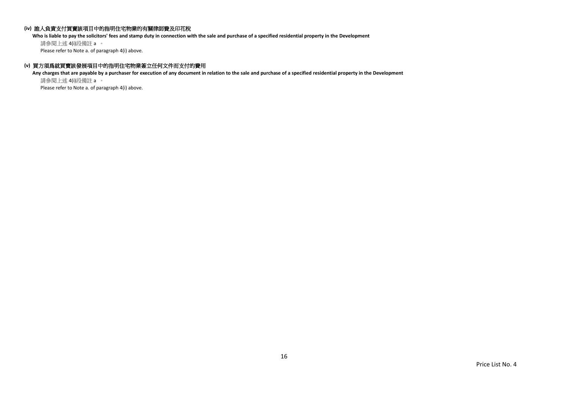## **(iv)** 誰人負責支付買賣該項目中的指明住宅物業的有關律師費及印花稅

**Who is liable to pay the solicitors' fees and stamp duty in connection with the sale and purchase of a specified residential property in the Development**

請參閱上述 4(i)段備註 a 。 Please refer to Note a. of paragraph 4(i) above.

## **(v)** 買方須爲就買賣該發展項目中的指明住宅物業簽立任何文件而支付的費用

**Any charges that are payable by a purchaser for execution of any document in relation to the sale and purchase of a specified residential property in the Development** 請參閱上述 4(i)段備註 a 。

Please refer to Note a. of paragraph 4(i) above.